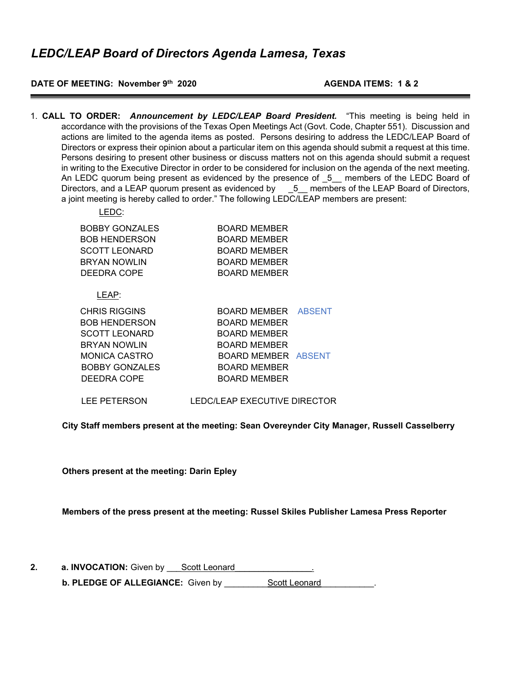#### **DATE OF MEETING: November 9th 2020 AGENDA ITEMS: 1 & 2**

1. **CALL TO ORDER:** *Announcement by LEDC/LEAP Board President.* "This meeting is being held in accordance with the provisions of the Texas Open Meetings Act (Govt. Code, Chapter 551). Discussion and actions are limited to the agenda items as posted. Persons desiring to address the LEDC/LEAP Board of Directors or express their opinion about a particular item on this agenda should submit a request at this time. Persons desiring to present other business or discuss matters not on this agenda should submit a request in writing to the Executive Director in order to be considered for inclusion on the agenda of the next meeting. An LEDC quorum being present as evidenced by the presence of \_5\_\_ members of the LEDC Board of Directors, and a LEAP quorum present as evidenced by  $\qquad 5$  members of the LEAP Board of Directors, a joint meeting is hereby called to order." The following LEDC/LEAP members are present:

| LEDC:                 |                            |  |
|-----------------------|----------------------------|--|
| BOBBY GONZALES        | BOARD MEMBER               |  |
| BOB HENDERSON         | BOARD MEMBER               |  |
| SCOTT LEONARD         | BOARD MEMBER               |  |
| <b>BRYAN NOWLIN</b>   | BOARD MEMBER               |  |
| DEEDRA COPE           | <b>BOARD MEMBER</b>        |  |
| LEAP:                 |                            |  |
| CHRIS RIGGINS         | BOARD MEMBER ABSENT        |  |
| BOB HENDERSON         | BOARD MEMBER               |  |
| <b>SCOTT LEONARD</b>  | <b>BOARD MEMBER</b>        |  |
| <b>BRYAN NOWLIN</b>   | <b>BOARD MEMBER</b>        |  |
| MONICA CASTRO         | <b>BOARD MEMBER ABSENT</b> |  |
| <b>BOBBY GONZALES</b> | BOARD MEMBER               |  |
| DEEDRA COPE           | BOARD MEMBER               |  |
|                       |                            |  |

LEE PETERSON LEDC/LEAP EXECUTIVE DIRECTOR

**City Staff members present at the meeting: Sean Overeynder City Manager, Russell Casselberry**

**Others present at the meeting: Darin Epley**

**Members of the press present at the meeting: Russel Skiles Publisher Lamesa Press Reporter**

| a. <b>INVOCATION:</b> Given by | Scott Leonard |
|--------------------------------|---------------|
|                                |               |

**b. PLEDGE OF ALLEGIANCE:** Given by Scott Leonard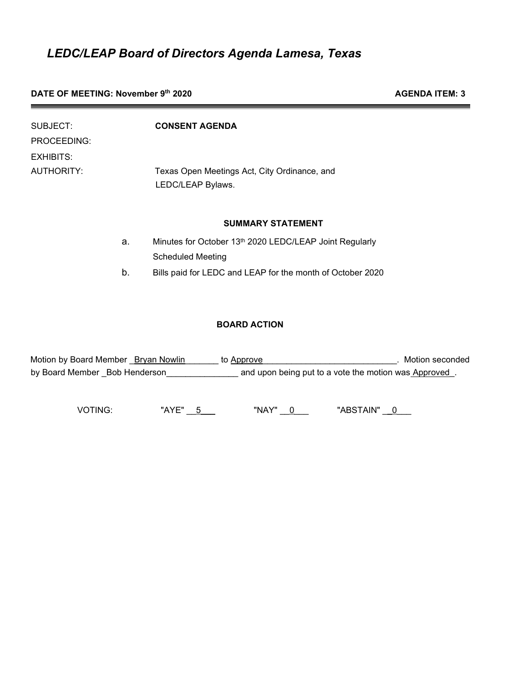### **DATE OF MEETING: November 9<sup>th</sup> 2020 AGENDA ITEM: 3**

| <b>CONSENT AGENDA</b>                                             |
|-------------------------------------------------------------------|
|                                                                   |
|                                                                   |
| Texas Open Meetings Act, City Ordinance, and<br>LEDC/LEAP Bylaws. |
| <b>SUMMARY STATEMENT</b>                                          |
| Minutes for October 13th 2020 LEDC/LEAP Joint Regularly           |
| <b>Scheduled Meeting</b>                                          |
|                                                                   |

b. Bills paid for LEDC and LEAP for the month of October 2020

#### **BOARD ACTION**

| Motion by Board Member Bryan Nowlin | to Approve                                           | Motion seconded |
|-------------------------------------|------------------------------------------------------|-----------------|
| by Board Member Bob Henderson       | and upon being put to a vote the motion was Approved |                 |

VOTING: "AYE" \_\_5\_\_\_ "NAY" \_\_0\_\_ "ABSTAIN" \_\_0\_\_\_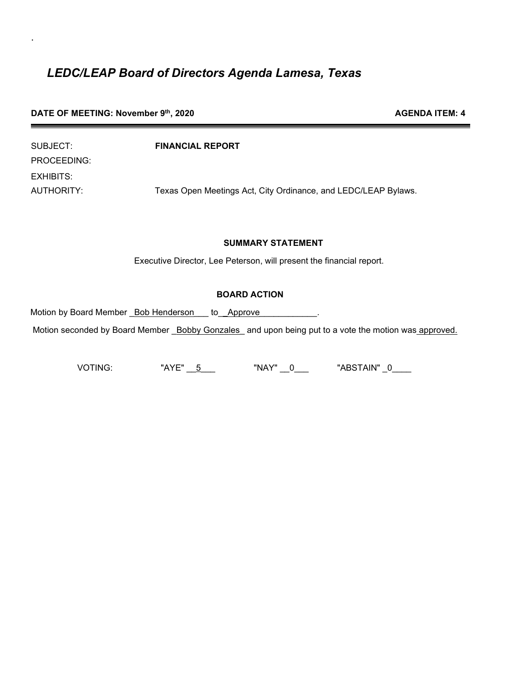|  |  |  | DATE OF MEETING: November 9th, 2020 |  |  |
|--|--|--|-------------------------------------|--|--|
|--|--|--|-------------------------------------|--|--|

.

| SUBJECT:    | <b>FINANCIAL REPORT</b>                                        |
|-------------|----------------------------------------------------------------|
| PROCEEDING: |                                                                |
| EXHIBITS:   |                                                                |
| AUTHORITY:  | Texas Open Meetings Act, City Ordinance, and LEDC/LEAP Bylaws. |

#### **SUMMARY STATEMENT**

**AGENDA ITEM: 4** 

Executive Director, Lee Peterson, will present the financial report.

#### **BOARD ACTION**

Motion by Board Member \_Bob Henderson\_\_\_ to\_**\_**Approve*\_\_\_\_\_\_\_\_\_\_\_\_.*

Motion seconded by Board Member \_Bobby Gonzales\_ and upon being put to a vote the motion was approved.

VOTING: "AYE" \_\_5\_\_\_ "NAY" \_\_0\_\_\_ "ABSTAIN" \_0\_\_\_\_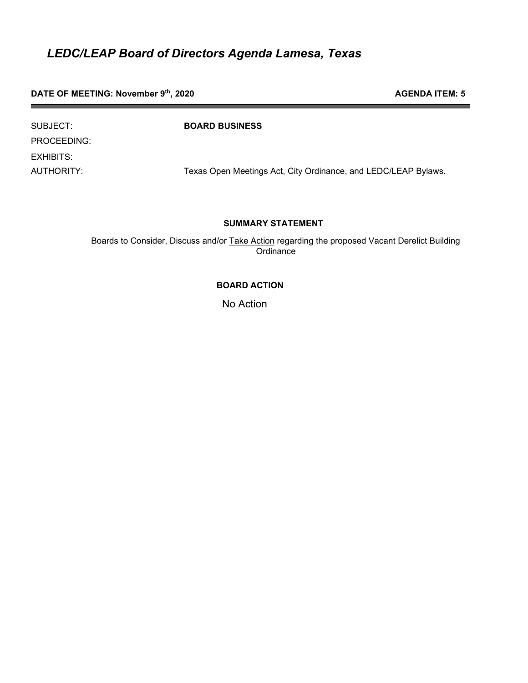**DATE OF MEETING: November 9<sup>th</sup>, 2020 AGENDA ITEM: 5 AGENDA ITEM: 5** 

| SUBJECT:    | <b>BOARD BUSINESS</b>                                          |
|-------------|----------------------------------------------------------------|
| PROCEEDING: |                                                                |
| EXHIBITS:   |                                                                |
| AUTHORITY:  | Texas Open Meetings Act, City Ordinance, and LEDC/LEAP Bylaws. |

#### **SUMMARY STATEMENT**

Boards to Consider, Discuss and/or Take Action regarding the proposed Vacant Derelict Building **Ordinance** 

#### **BOARD ACTION**

No Action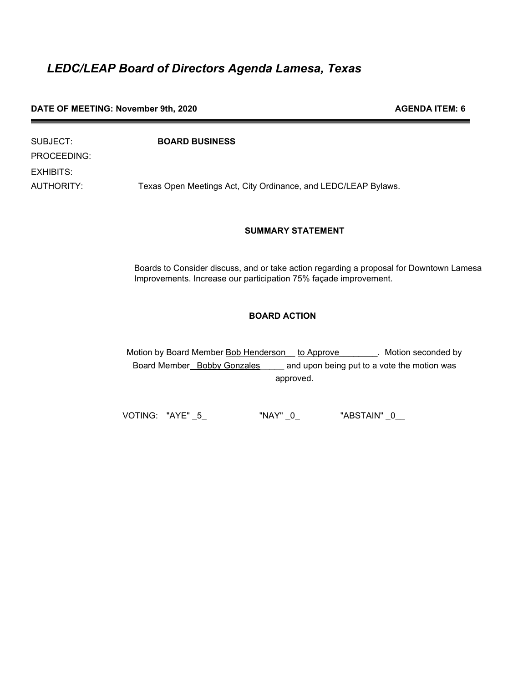#### **DATE OF MEETING: November 9th, 2020 AGENDA ITEM: 6 AGENDA ITEM: 6**

| SUBJECT:    | <b>BOARD BUSINESS</b>                                          |
|-------------|----------------------------------------------------------------|
| PROCEEDING: |                                                                |
| EXHIBITS:   |                                                                |
| AUTHORITY:  | Texas Open Meetings Act, City Ordinance, and LEDC/LEAP Bylaws. |

#### **SUMMARY STATEMENT**

Boards to Consider discuss, and or take action regarding a proposal for Downtown Lamesa Improvements. Increase our participation 75% façade improvement.

#### **BOARD ACTION**

Motion by Board Member **Bob Henderson** to Approve Motion seconded by Board Member\_Bobby Gonzales\_\_\_\_\_ and upon being put to a vote the motion was approved.

VOTING: "AYE" \_5\_ "NAY" \_0\_ "ABSTAIN" \_0\_\_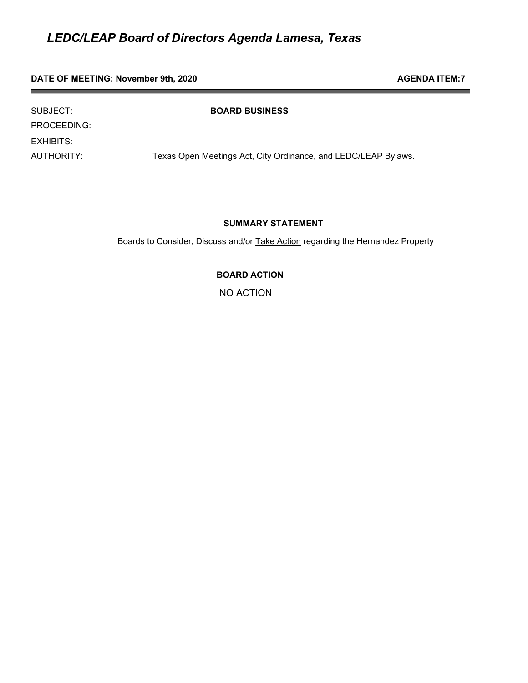#### **DATE OF MEETING: November 9th, 2020 AGENDA ITEM:7 AGENDA ITEM:7**

PROCEEDING:

EXHIBITS:

SUBJECT:

AUTHORITY: Texas Open Meetings Act, City Ordinance, and LEDC/LEAP Bylaws.

#### **SUMMARY STATEMENT**

Boards to Consider, Discuss and/or Take Action regarding the Hernandez Property

**BOARD ACTION** 

NO ACTION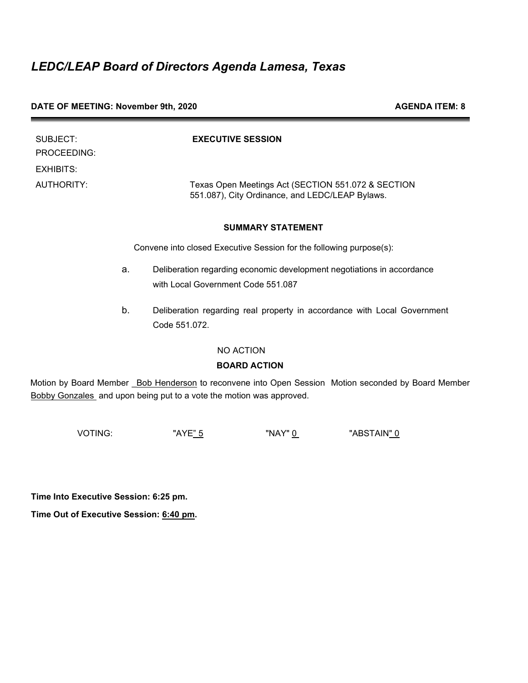#### **DATE OF MEETING: November 9th, 2020** AGENDA ITEM: 8

| SUBJECT:    | <b>EXECUTIVE SESSION</b>                                                                              |
|-------------|-------------------------------------------------------------------------------------------------------|
| PROCEEDING: |                                                                                                       |
| EXHIBITS:   |                                                                                                       |
| AUTHORITY:  | Texas Open Meetings Act (SECTION 551.072 & SECTION<br>551.087), City Ordinance, and LEDC/LEAP Bylaws. |

#### **SUMMARY STATEMENT**

Convene into closed Executive Session for the following purpose(s):

- a. Deliberation regarding economic development negotiations in accordance with Local Government Code 551.087
- b. Deliberation regarding real property in accordance with Local Government Code 551.072.

#### NO ACTION

#### **BOARD ACTION**

Motion by Board Member **Bob Henderson** to reconvene into Open Session Motion seconded by Board Member Bobby Gonzales and upon being put to a vote the motion was approved.

VOTING: "AYE<u>" 5</u> "NAY" <u>0</u> "ABSTAIN<u>" 0</u>

**Time Into Executive Session: 6:25 pm.**

**Time Out of Executive Session: 6:40 pm.**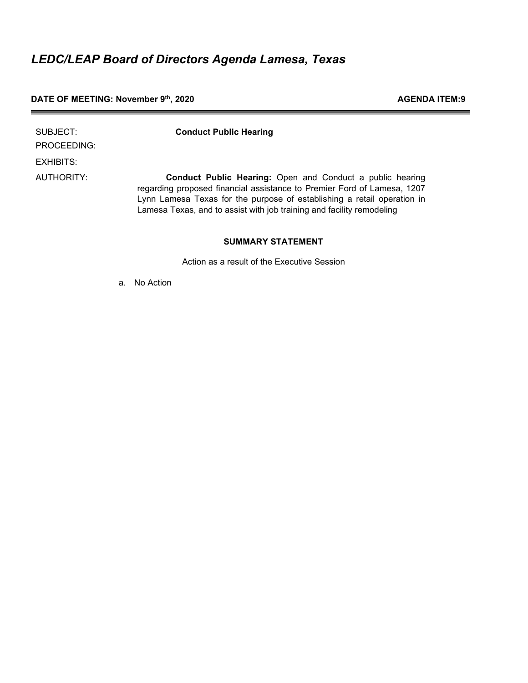### **DATE OF MEETING: November 9<sup>th</sup>, 2020 AGENDA ITEM:9**

| SUBJECT:<br>PROCEEDING: | <b>Conduct Public Hearing</b>                                                                                                                                                                                                                                                                   |
|-------------------------|-------------------------------------------------------------------------------------------------------------------------------------------------------------------------------------------------------------------------------------------------------------------------------------------------|
| EXHIBITS:               |                                                                                                                                                                                                                                                                                                 |
| AUTHORITY:              | <b>Conduct Public Hearing:</b> Open and Conduct a public hearing<br>regarding proposed financial assistance to Premier Ford of Lamesa, 1207<br>Lynn Lamesa Texas for the purpose of establishing a retail operation in<br>Lamesa Texas, and to assist with job training and facility remodeling |

#### **SUMMARY STATEMENT**

Action as a result of the Executive Session

a. No Action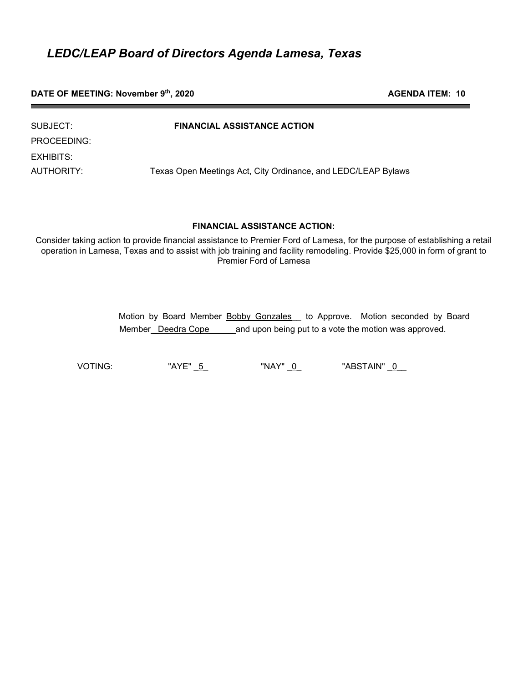**DATE OF MEETING: November 9<sup>th</sup>, 2020 AGENDA ITEM: 10 AGENDA ITEM: 10** 

| SUBJECT:    | <b>FINANCIAL ASSISTANCE ACTION</b>                            |
|-------------|---------------------------------------------------------------|
| PROCEEDING: |                                                               |
| EXHIBITS:   |                                                               |
| AUTHORITY:  | Texas Open Meetings Act, City Ordinance, and LEDC/LEAP Bylaws |

#### **FINANCIAL ASSISTANCE ACTION:**

Consider taking action to provide financial assistance to Premier Ford of Lamesa, for the purpose of establishing a retail operation in Lamesa, Texas and to assist with job training and facility remodeling. Provide \$25,000 in form of grant to Premier Ford of Lamesa

| Motion by Board Member Bobby Gonzales _ to Approve. Motion seconded by Board |                                                       |  |  |
|------------------------------------------------------------------------------|-------------------------------------------------------|--|--|
| Member Deedra Cope                                                           | and upon being put to a vote the motion was approved. |  |  |

VOTING: "AYE" \_5\_ "NAY" \_0\_ "ABSTAIN" \_0\_\_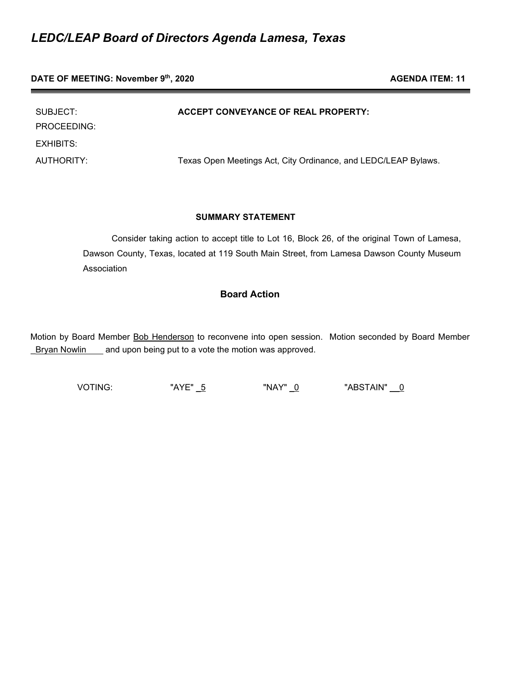PROCEEDING: EXHIBITS:

SUBJECT: **ACCEPT CONVEYANCE OF REAL PROPERTY:**

AUTHORITY: Texas Open Meetings Act, City Ordinance, and LEDC/LEAP Bylaws.

#### **SUMMARY STATEMENT**

 Consider taking action to accept title to Lot 16, Block 26, of the original Town of Lamesa, Dawson County, Texas, located at 119 South Main Street, from Lamesa Dawson County Museum **Association** 

### **Board Action**

Motion by Board Member Bob Henderson to reconvene into open session. Motion seconded by Board Member Bryan Nowlin and upon being put to a vote the motion was approved.

VOTING: "AYE" \_5 "NAY" \_0 "ABSTAIN" \_\_0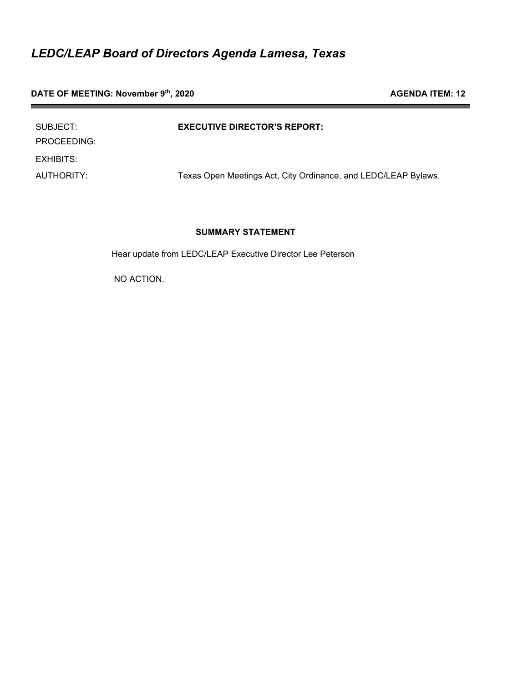**DATE OF MEETING:** November 9<sup>th</sup>, 2020 **AGENDA ITEM:** 12

| SUBJECT:<br>PROCEEDING: | <b>EXECUTIVE DIRECTOR'S REPORT:</b>                            |
|-------------------------|----------------------------------------------------------------|
| EXHIBITS:               |                                                                |
| AUTHORITY:              | Texas Open Meetings Act, City Ordinance, and LEDC/LEAP Bylaws. |

#### **SUMMARY STATEMENT**

Hear update from LEDC/LEAP Executive Director Lee Peterson

NO ACTION.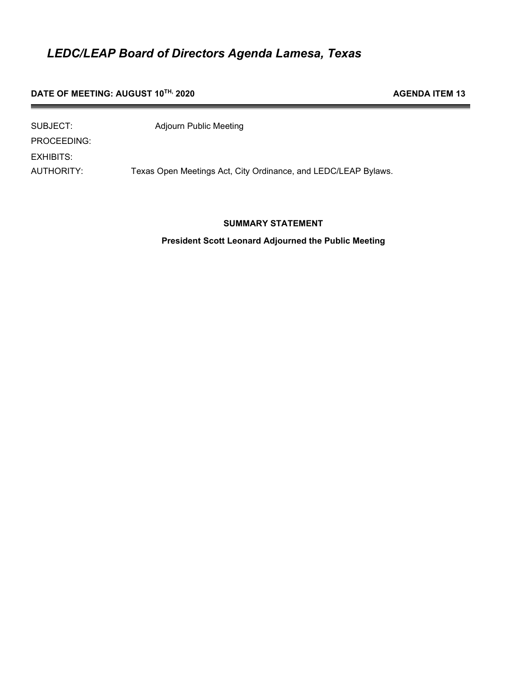#### **DATE OF MEETING: AUGUST 10<sup>TH,</sup> 2020 AGENDA ITEM 13**

| SUBJECT:    | <b>Adjourn Public Meeting</b>                                  |
|-------------|----------------------------------------------------------------|
| PROCEEDING: |                                                                |
| EXHIBITS:   |                                                                |
| AUTHORITY:  | Texas Open Meetings Act, City Ordinance, and LEDC/LEAP Bylaws. |

#### **SUMMARY STATEMENT**

**President Scott Leonard Adjourned the Public Meeting**